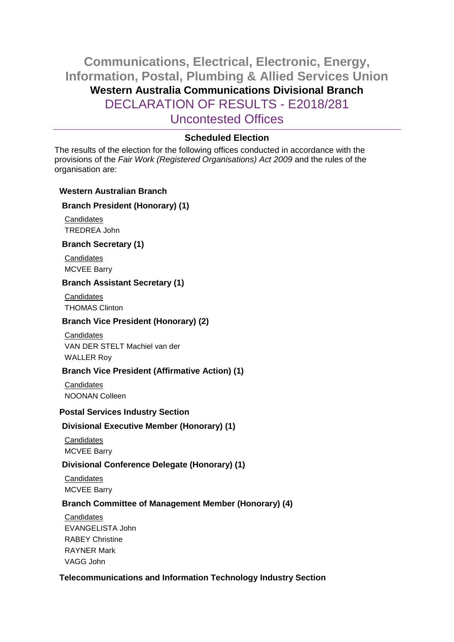# **Communications, Electrical, Electronic, Energy, Information, Postal, Plumbing & Allied Services Union Western Australia Communications Divisional Branch** DECLARATION OF RESULTS - E2018/281 Uncontested Offices

## **Scheduled Election**

The results of the election for the following offices conducted in accordance with the provisions of the *Fair Work (Registered Organisations) Act 2009* and the rules of the organisation are:

#### **Western Australian Branch**

## **Branch President (Honorary) (1)**

**Candidates** TREDREA John

#### **Branch Secretary (1)**

**Candidates** MCVEE Barry

## **Branch Assistant Secretary (1)**

**Candidates** THOMAS Clinton

## **Branch Vice President (Honorary) (2)**

**Candidates** VAN DER STELT Machiel van der WALLER Roy

## **Branch Vice President (Affirmative Action) (1)**

**Candidates** NOONAN Colleen

#### **Postal Services Industry Section**

## **Divisional Executive Member (Honorary) (1)**

**Candidates** MCVEE Barry

## **Divisional Conference Delegate (Honorary) (1)**

**Candidates** MCVEE Barry

## **Branch Committee of Management Member (Honorary) (4)**

**Candidates** EVANGELISTA John RABEY Christine RAYNER Mark VAGG John

## **Telecommunications and Information Technology Industry Section**